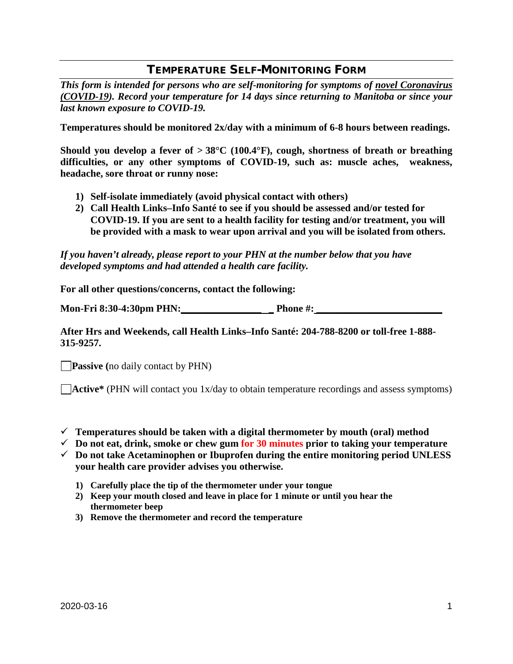## TEMPERATURE SELF-MONITORING FORM

*This form is intended for persons who are self-monitoring for symptoms of novel Coronavirus (COVID-19). Record your temperature for 14 days since returning to Manitoba or since your last known exposure to COVID-19.*

**Temperatures should be monitored 2x/day with a minimum of 6-8 hours between readings.**

**Should you develop a fever of > 38°C (100.4°F), cough, shortness of breath or breathing difficulties, or any other symptoms of COVID-19, such as: muscle aches, weakness, headache, sore throat or runny nose:** 

- **1) Self-isolate immediately (avoid physical contact with others)**
- **2) Call Health Links–Info Santé to see if you should be assessed and/or tested for COVID-19. If you are sent to a health facility for testing and/or treatment, you will be provided with a mask to wear upon arrival and you will be isolated from others.**

*If you haven't already, please report to your PHN at the number below that you have developed symptoms and had attended a health care facility.*

**For all other questions/concerns, contact the following:**

**Mon-Fri 8:30-4:30pm PHN:\_\_\_\_\_\_\_\_\_\_\_\_\_\_\_\_ \_ Phone #: \_\_\_\_\_\_\_\_\_\_\_\_\_\_\_\_\_\_\_\_\_\_\_\_\_**

## **After Hrs and Weekends, call Health Links–Info Santé: 204-788-8200 or toll-free 1-888- 315-9257.**

**Passive** (no daily contact by PHN)

**Active\*** (PHN will contact you 1x/day to obtain temperature recordings and assess symptoms)

- **Temperatures should be taken with a digital thermometer by mouth (oral) method**
- $\checkmark$  Do not eat, drink, smoke or chew gum for 30 minutes prior to taking your temperature
- **Do not take Acetaminophen or Ibuprofen during the entire monitoring period UNLESS your health care provider advises you otherwise.** 
	- **1) Carefully place the tip of the thermometer under your tongue**
	- **2) Keep your mouth closed and leave in place for 1 minute or until you hear the thermometer beep**
	- **3) Remove the thermometer and record the temperature**